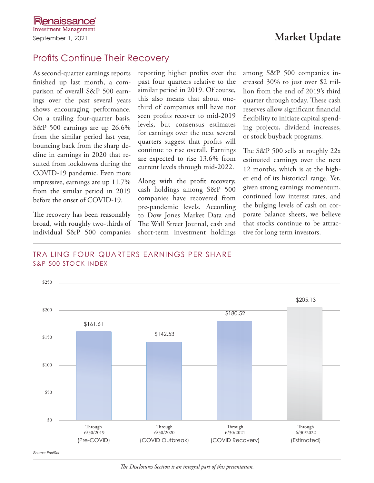# Profits Continue Their Recovery

As second-quarter earnings reports finished up last month, a comparison of overall S&P 500 earnings over the past several years shows encouraging performance. On a trailing four-quarter basis, S&P 500 earnings are up 26.6% from the similar period last year, bouncing back from the sharp decline in earnings in 2020 that resulted from lockdowns during the COVID-19 pandemic. Even more impressive, earnings are up 11.7% from the similar period in 2019 before the onset of COVID-19.

The recovery has been reasonably broad, with roughly two-thirds of individual S&P 500 companies

reporting higher profits over the past four quarters relative to the similar period in 2019. Of course, this also means that about onethird of companies still have not seen profits recover to mid-2019 levels, but consensus estimates for earnings over the next several quarters suggest that profits will continue to rise overall. Earnings are expected to rise 13.6% from current levels through mid-2022.

Along with the profit recovery, cash holdings among S&P 500 companies have recovered from pre-pandemic levels. According to Dow Jones Market Data and The Wall Street Journal, cash and short-term investment holdings among S&P 500 companies increased 30% to just over \$2 trillion from the end of 2019's third quarter through today. These cash reserves allow significant financial flexibility to initiate capital spending projects, dividend increases, or stock buyback programs.

The S&P 500 sells at roughly 22x estimated earnings over the next 12 months, which is at the higher end of its historical range. Yet, given strong earnings momentum, continued low interest rates, and the bulging levels of cash on corporate balance sheets, we believe that stocks continue to be attractive for long term investors.

#### TRAILING FOUR-QUARTERS EARNINGS PER SHARE S&P 500 STOCK INDEX



*The Disclosures Section is an integral part of this presentation.*